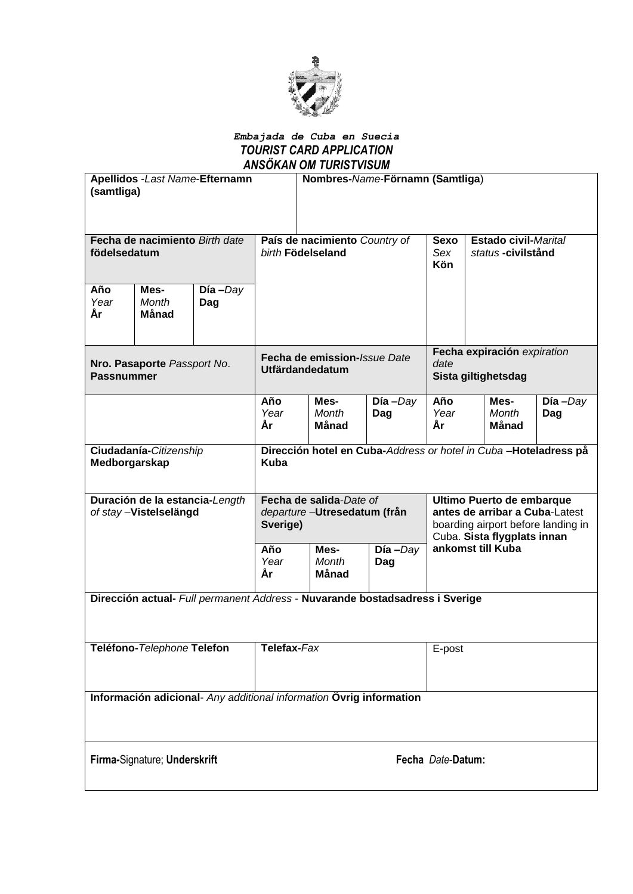

### *Embajada de Cuba en Suecia TOURIST CARD APPLICATION ANSÖKAN OM TURISTVISUM*

| (samtliga)                                                                   |                              | <b>Apellidos - Last Name-Efternamn</b> |                                                                                | Nombres-Name-Förnamn (Samtliga) |                   |                                                                                                                                  |                                                  |  |                   |
|------------------------------------------------------------------------------|------------------------------|----------------------------------------|--------------------------------------------------------------------------------|---------------------------------|-------------------|----------------------------------------------------------------------------------------------------------------------------------|--------------------------------------------------|--|-------------------|
| Fecha de nacimiento Birth date<br>födelsedatum                               |                              |                                        | País de nacimiento Country of<br>birth Födelseland                             |                                 |                   | <b>Sexo</b><br>Sex<br><b>Kön</b>                                                                                                 | <b>Estado civil-Marital</b><br>status-civilstånd |  |                   |
| Año<br>Year<br>Ar                                                            | Mes-<br>Month<br>Månad       | $Día$ -Day<br>Dag                      |                                                                                |                                 |                   |                                                                                                                                  |                                                  |  |                   |
| Nro. Pasaporte Passport No.<br><b>Passnummer</b>                             |                              |                                        | Fecha de emission-Issue Date<br><b>Utfärdandedatum</b>                         |                                 |                   | Fecha expiración expiration<br>date<br>Sista giltighetsdag                                                                       |                                                  |  |                   |
|                                                                              |                              |                                        | Año<br>Year<br>År                                                              | Mes-<br>Month<br>Månad          | $Día$ -Day<br>Dag | Año<br>Year<br>År                                                                                                                | Mes-<br>Month<br>Månad                           |  | $Día$ -Day<br>Dag |
| Ciudadanía-Citizenship<br>Medborgarskap                                      |                              |                                        | Dirección hotel en Cuba-Address or hotel in Cuba-Hoteladress på<br><b>Kuba</b> |                                 |                   |                                                                                                                                  |                                                  |  |                   |
| Duración de la estancia-Length<br>of stay-Vistelselängd                      |                              |                                        | Fecha de salida-Date of<br>departure-Utresedatum (från<br>Sverige)             |                                 |                   | Ultimo Puerto de embarque<br>antes de arribar a Cuba-Latest<br>boarding airport before landing in<br>Cuba. Sista flygplats innan |                                                  |  |                   |
|                                                                              |                              |                                        | Año<br>Year<br>Ár                                                              | Mes-<br>Month<br>Månad          | $Día$ -Day<br>Dag | ankomst till Kuba                                                                                                                |                                                  |  |                   |
| Dirección actual- Full permanent Address - Nuvarande bostadsadress i Sverige |                              |                                        |                                                                                |                                 |                   |                                                                                                                                  |                                                  |  |                   |
| Teléfono-Telephone Telefon                                                   |                              |                                        | Telefax-Fax                                                                    |                                 |                   | E-post                                                                                                                           |                                                  |  |                   |
| Información adicional- Any additional information Övrig information          |                              |                                        |                                                                                |                                 |                   |                                                                                                                                  |                                                  |  |                   |
|                                                                              | Firma-Signature; Underskrift |                                        | Fecha Date-Datum:                                                              |                                 |                   |                                                                                                                                  |                                                  |  |                   |